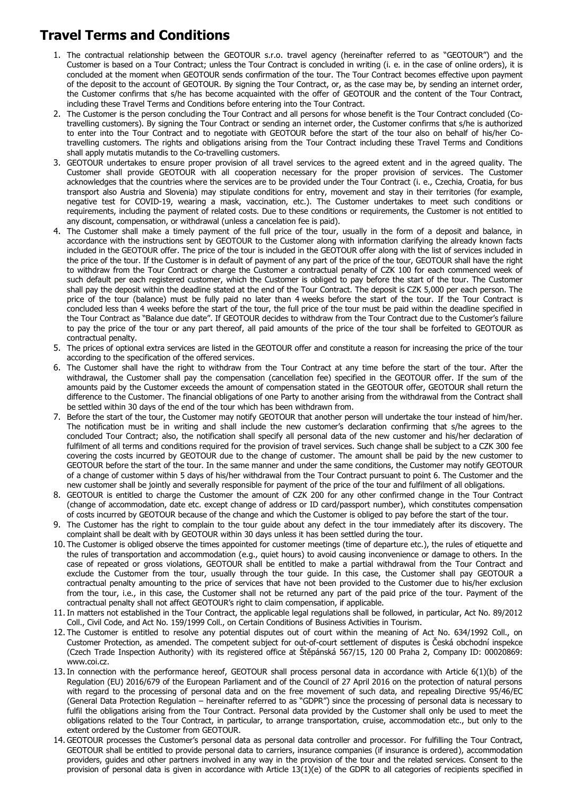## **Travel Terms and Conditions**

- 1. The contractual relationship between the GEOTOUR s.r.o. travel agency (hereinafter referred to as "GEOTOUR") and the Customer is based on a Tour Contract; unless the Tour Contract is concluded in writing (i. e. in the case of online orders), it is concluded at the moment when GEOTOUR sends confirmation of the tour. The Tour Contract becomes effective upon payment of the deposit to the account of GEOTOUR. By signing the Tour Contract, or, as the case may be, by sending an internet order, the Customer confirms that s/he has become acquainted with the offer of GEOTOUR and the content of the Tour Contract, including these Travel Terms and Conditions before entering into the Tour Contract.
- 2. The Customer is the person concluding the Tour Contract and all persons for whose benefit is the Tour Contract concluded (Cotravelling customers). By signing the Tour Contract or sending an internet order, the Customer confirms that s/he is authorized to enter into the Tour Contract and to negotiate with GEOTOUR before the start of the tour also on behalf of his/her Cotravelling customers. The rights and obligations arising from the Tour Contract including these Travel Terms and Conditions shall apply mutatis mutandis to the Co-travelling customers.
- 3. GEOTOUR undertakes to ensure proper provision of all travel services to the agreed extent and in the agreed quality. The Customer shall provide GEOTOUR with all cooperation necessary for the proper provision of services. The Customer acknowledges that the countries where the services are to be provided under the Tour Contract (i. e., Czechia, Croatia, for bus transport also Austria and Slovenia) may stipulate conditions for entry, movement and stay in their territories (for example, negative test for COVID-19, wearing a mask, vaccination, etc.). The Customer undertakes to meet such conditions or requirements, including the payment of related costs. Due to these conditions or requirements, the Customer is not entitled to any discount, compensation, or withdrawal (unless a cancelation fee is paid).
- 4. The Customer shall make a timely payment of the full price of the tour, usually in the form of a deposit and balance, in accordance with the instructions sent by GEOTOUR to the Customer along with information clarifying the already known facts included in the GEOTOUR offer. The price of the tour is included in the GEOTOUR offer along with the list of services included in the price of the tour. If the Customer is in default of payment of any part of the price of the tour, GEOTOUR shall have the right to withdraw from the Tour Contract or charge the Customer a contractual penalty of CZK 100 for each commenced week of such default per each registered customer, which the Customer is obliged to pay before the start of the tour. The Customer shall pay the deposit within the deadline stated at the end of the Tour Contract. The deposit is CZK 5,000 per each person. The price of the tour (balance) must be fully paid no later than 4 weeks before the start of the tour. If the Tour Contract is concluded less than 4 weeks before the start of the tour, the full price of the tour must be paid within the deadline specified in the Tour Contract as "Balance due date". If GEOTOUR decides to withdraw from the Tour Contract due to the Customer's failure to pay the price of the tour or any part thereof, all paid amounts of the price of the tour shall be forfeited to GEOTOUR as contractual penalty.
- 5. The prices of optional extra services are listed in the GEOTOUR offer and constitute a reason for increasing the price of the tour according to the specification of the offered services.
- 6. The Customer shall have the right to withdraw from the Tour Contract at any time before the start of the tour. After the withdrawal, the Customer shall pay the compensation (cancellation fee) specified in the GEOTOUR offer. If the sum of the amounts paid by the Customer exceeds the amount of compensation stated in the GEOTOUR offer, GEOTOUR shall return the difference to the Customer. The financial obligations of one Party to another arising from the withdrawal from the Contract shall be settled within 30 days of the end of the tour which has been withdrawn from.
- 7. Before the start of the tour, the Customer may notify GEOTOUR that another person will undertake the tour instead of him/her. The notification must be in writing and shall include the new customer's declaration confirming that s/he agrees to the concluded Tour Contract; also, the notification shall specify all personal data of the new customer and his/her declaration of fulfilment of all terms and conditions required for the provision of travel services. Such change shall be subject to a CZK 300 fee covering the costs incurred by GEOTOUR due to the change of customer. The amount shall be paid by the new customer to GEOTOUR before the start of the tour. In the same manner and under the same conditions, the Customer may notify GEOTOUR of a change of customer within 5 days of his/her withdrawal from the Tour Contract pursuant to point 6. The Customer and the new customer shall be jointly and severally responsible for payment of the price of the tour and fulfilment of all obligations.
- 8. GEOTOUR is entitled to charge the Customer the amount of CZK 200 for any other confirmed change in the Tour Contract (change of accommodation, date etc. except change of address or ID card/passport number), which constitutes compensation of costs incurred by GEOTOUR because of the change and which the Customer is obliged to pay before the start of the tour.
- 9. The Customer has the right to complain to the tour guide about any defect in the tour immediately after its discovery. The complaint shall be dealt with by GEOTOUR within 30 days unless it has been settled during the tour.
- 10. The Customer is obliged observe the times appointed for customer meetings (time of departure etc.), the rules of etiquette and the rules of transportation and accommodation (e.g., quiet hours) to avoid causing inconvenience or damage to others. In the case of repeated or gross violations, GEOTOUR shall be entitled to make a partial withdrawal from the Tour Contract and exclude the Customer from the tour, usually through the tour guide. In this case, the Customer shall pay GEOTOUR a contractual penalty amounting to the price of services that have not been provided to the Customer due to his/her exclusion from the tour, i.e., in this case, the Customer shall not be returned any part of the paid price of the tour. Payment of the contractual penalty shall not affect GEOTOUR's right to claim compensation, if applicable.
- 11. In matters not established in the Tour Contract, the applicable legal regulations shall be followed, in particular, Act No. 89/2012 Coll., Civil Code, and Act No. 159/1999 Coll., on Certain Conditions of Business Activities in Tourism.
- 12. The Customer is entitled to resolve any potential disputes out of court within the meaning of Act No. 634/1992 Coll., on Customer Protection, as amended. The competent subject for out-of-court settlement of disputes is Česká obchodní inspekce (Czech Trade Inspection Authority) with its registered office at Štěpánská 567/15, 120 00 Praha 2, Company ID: 00020869: [www.coi.cz.](http://www.coi.cz/)
- 13. In connection with the performance hereof, GEOTOUR shall process personal data in accordance with Article 6(1)(b) of the Regulation (EU) 2016/679 of the European Parliament and of the Council of 27 April 2016 on the protection of natural persons with regard to the processing of personal data and on the free movement of such data, and repealing Directive 95/46/EC (General Data Protection Regulation – hereinafter referred to as "GDPR") since the processing of personal data is necessary to fulfil the obligations arising from the Tour Contract. Personal data provided by the Customer shall only be used to meet the obligations related to the Tour Contract, in particular, to arrange transportation, cruise, accommodation etc., but only to the extent ordered by the Customer from GEOTOUR.
- 14. GEOTOUR processes the Customer's personal data as personal data controller and processor. For fulfilling the Tour Contract, GEOTOUR shall be entitled to provide personal data to carriers, insurance companies (if insurance is ordered), accommodation providers, guides and other partners involved in any way in the provision of the tour and the related services. Consent to the provision of personal data is given in accordance with Article 13(1)(e) of the GDPR to all categories of recipients specified in